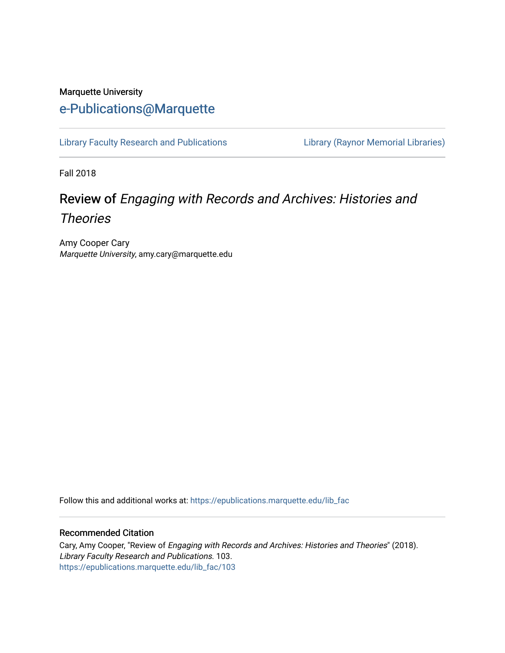## Marquette University [e-Publications@Marquette](https://epublications.marquette.edu/)

[Library Faculty Research and Publications](https://epublications.marquette.edu/lib_fac) [Library \(Raynor Memorial Libraries\)](https://epublications.marquette.edu/library) 

Fall 2018

# Review of Engaging with Records and Archives: Histories and

**Theories** 

Amy Cooper Cary Marquette University, amy.cary@marquette.edu

Follow this and additional works at: [https://epublications.marquette.edu/lib\\_fac](https://epublications.marquette.edu/lib_fac?utm_source=epublications.marquette.edu%2Flib_fac%2F103&utm_medium=PDF&utm_campaign=PDFCoverPages) 

### Recommended Citation

Cary, Amy Cooper, "Review of Engaging with Records and Archives: Histories and Theories" (2018). Library Faculty Research and Publications. 103. [https://epublications.marquette.edu/lib\\_fac/103](https://epublications.marquette.edu/lib_fac/103?utm_source=epublications.marquette.edu%2Flib_fac%2F103&utm_medium=PDF&utm_campaign=PDFCoverPages)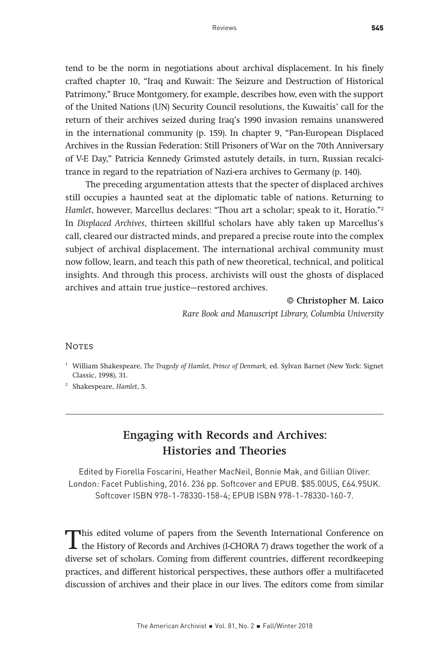## 18Engaging with Records and Archives: Histories and Theories

Edited by Fiorella Foscarini, Heather MacNeil, Bonnie Mak, and Gillian Oliver. London: Facet Publishing, 2016. 236 pp. Softcover and EPUB. \$85.00US, £64.95UK. Softcover ISBN 978-1-78330-158-4; EPUB ISBN 978-1-78330-160-7.

This edited volume of papers from the Seventh International Conference on the History of Records and Archives (I-CHORA 7) draws together the work of a diverse est of scholars. Coming from different countries, different rec diverse set of scholars. Coming from different countries, different recordkeeping practices, and different historical perspectives, these authors offer a multifaceted discussion of archives and their place in our lives. The editors come from similar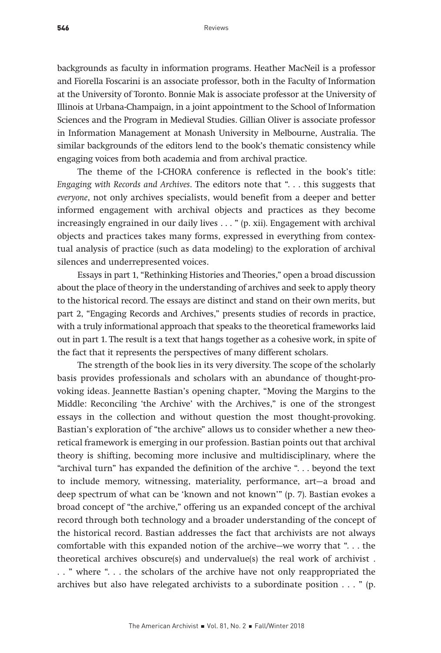backgrounds as faculty in information programs. Heather MacNeil is a professor and Fiorella Foscarini is an associate professor, both in the Faculty of Information at the University of Toronto. Bonnie Mak is associate professor at the University of Illinois at Urbana-Champaign, in a joint appointment to the School of Information Sciences and the Program in Medieval Studies. Gillian Oliver is associate professor in Information Management at Monash University in Melbourne, Australia. The similar backgrounds of the editors lend to the book's thematic consistency while engaging voices from both academia and from archival practice.

The theme of the I-CHORA conference is reflected in the book's title: Engaging with Records and Archives. The editors note that ". . . this suggests that everyone, not only archives specialists, would benefit from a deeper and better informed engagement with archival objects and practices as they become increasingly engrained in our daily lives . . . " (p. xii). Engagement with archival objects and practices takes many forms, expressed in everything from contextual analysis of practice (such as data modeling) to the exploration of archival silences and underrepresented voices.

Essays in part 1, "Rethinking Histories and Theories," open a broad discussion about the place of theory in the understanding of archives and seek to apply theory to the historical record. The essays are distinct and stand on their own merits, but part 2, "Engaging Records and Archives," presents studies of records in practice, with a truly informational approach that speaks to the theoretical frameworks laid out in part 1. The result is a text that hangs together as a cohesive work, in spite of the fact that it represents the perspectives of many different scholars.

The strength of the book lies in its very diversity. The scope of the scholarly basis provides professionals and scholars with an abundance of thought-provoking ideas. Jeannette Bastian's opening chapter, "Moving the Margins to the Middle: Reconciling 'the Archive' with the Archives," is one of the strongest essays in the collection and without question the most thought-provoking. Bastian's exploration of "the archive" allows us to consider whether a new theoretical framework is emerging in our profession. Bastian points out that archival theory is shifting, becoming more inclusive and multidisciplinary, where the "archival turn" has expanded the definition of the archive ". . . beyond the text to include memory, witnessing, materiality, performance, art—a broad and deep spectrum of what can be 'known and not known'" (p. 7). Bastian evokes a broad concept of "the archive," offering us an expanded concept of the archival record through both technology and a broader understanding of the concept of the historical record. Bastian addresses the fact that archivists are not always comfortable with this expanded notion of the archive—we worry that ". . . the theoretical archives obscure(s) and undervalue(s) the real work of archivist . . . " where ". . . the scholars of the archive have not only reappropriated the archives but also have relegated archivists to a subordinate position . . . " (p.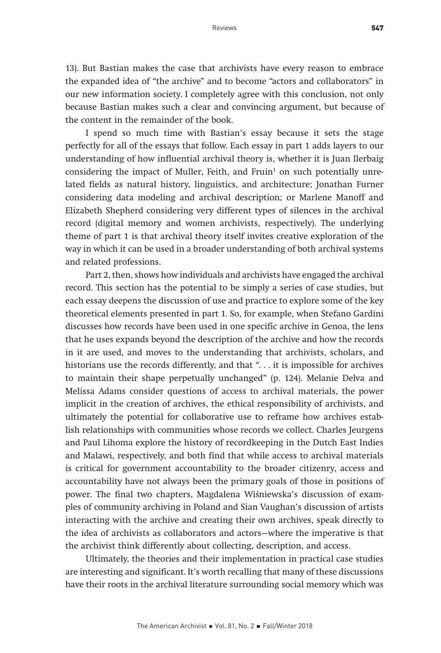13). But Bastian makes the case that archivists have every reason to embrace the expanded idea of "the archive" and to become "actors and collaborators" in our new information society. I completely agree with this conclusion, not only because Bastian makes such a clear and convincing argument, but because of the content in the remainder of the book.

I spend so much time with Bastian's essay because it sets the stage perfectly for all of the essays that follow. Each essay in part 1 adds layers to our understanding of how influential archival theory is, whether it is Juan Ilerbaig considering the impact of Muller, Feith, and Fruin<sup>1</sup> on such potentially unrelated fields as natural history, linguistics, and architecture; Jonathan Furner considering data modeling and archival description; or Marlene Manoff and Elizabeth Shepherd considering very different types of silences in the archival record (digital memory and women archivists, respectively). The underlying theme of part 1 is that archival theory itself invites creative exploration of the way in which it can be used in a broader understanding of both archival systems and related professions.

Part 2, then, shows how individuals and archivists have engaged the archival record. This section has the potential to be simply a series of case studies, but each essay deepens the discussion of use and practice to explore some of the key theoretical elements presented in part 1. So, for example, when Stefano Gardini discusses how records have been used in one specific archive in Genoa, the lens that he uses expands beyond the description of the archive and how the records in it are used, and moves to the understanding that archivists, scholars, and historians use the records differently, and that "... it is impossible for archives to maintain their shape perpetually unchanged" (p. 124). Melanie Delva and Melissa Adams consider questions of access to archival materials, the power implicit in the creation of archives, the ethical responsibility of archivists, and ultimately the potential for collaborative use to reframe how archives establish relationships with communities whose records we collect. Charles Jeurgens and Paul Lihoma explore the history of recordkeeping in the Dutch East Indies and Malawi, respectively, and both find that while access to archival materials is critical for government accountability to the broader citizenry, access and accountability have not always been the primary goals of those in positions of power. The final two chapters, Magdalena Wiśniewska's discussion of examples of community archiving in Poland and Sian Vaughan's discussion of artists interacting with the archive and creating their own archives, speak directly to the idea of archivists as collaborators and actors—where the imperative is that the archivist think differently about collecting, description, and access.

Ultimately, the theories and their implementation in practical case studies are interesting and significant. It's worth recalling that many of these discussions have their roots in the archival literature surrounding social memory which was